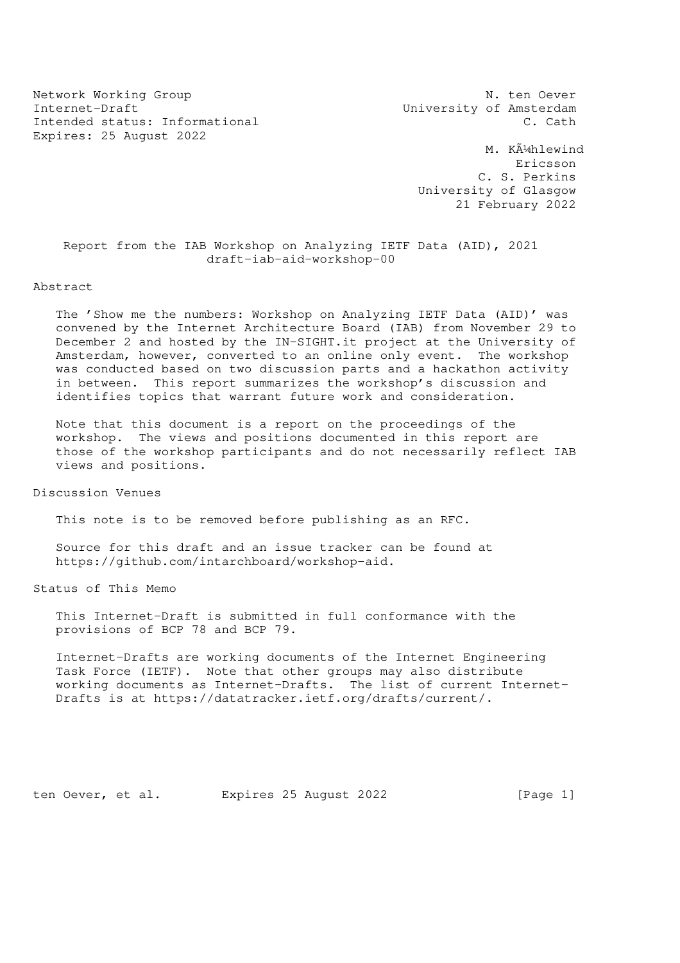Network Working Group N. ten Oever Internet-Draft **Internet-Draft** Music Constant University of Amsterdam Intended status: Informational C. Cath Expires: 25 August 2022

M. Kļhlewind Ericsson C. S. Perkins University of Glasgow 21 February 2022

 Report from the IAB Workshop on Analyzing IETF Data (AID), 2021 draft-iab-aid-workshop-00

Abstract

 The 'Show me the numbers: Workshop on Analyzing IETF Data (AID)' was convened by the Internet Architecture Board (IAB) from November 29 to December 2 and hosted by the IN-SIGHT.it project at the University of Amsterdam, however, converted to an online only event. The workshop was conducted based on two discussion parts and a hackathon activity in between. This report summarizes the workshop's discussion and identifies topics that warrant future work and consideration.

 Note that this document is a report on the proceedings of the workshop. The views and positions documented in this report are those of the workshop participants and do not necessarily reflect IAB views and positions.

Discussion Venues

This note is to be removed before publishing as an RFC.

 Source for this draft and an issue tracker can be found at https://github.com/intarchboard/workshop-aid.

Status of This Memo

 This Internet-Draft is submitted in full conformance with the provisions of BCP 78 and BCP 79.

 Internet-Drafts are working documents of the Internet Engineering Task Force (IETF). Note that other groups may also distribute working documents as Internet-Drafts. The list of current Internet- Drafts is at https://datatracker.ietf.org/drafts/current/.

ten Oever, et al. Expires 25 August 2022 [Page 1]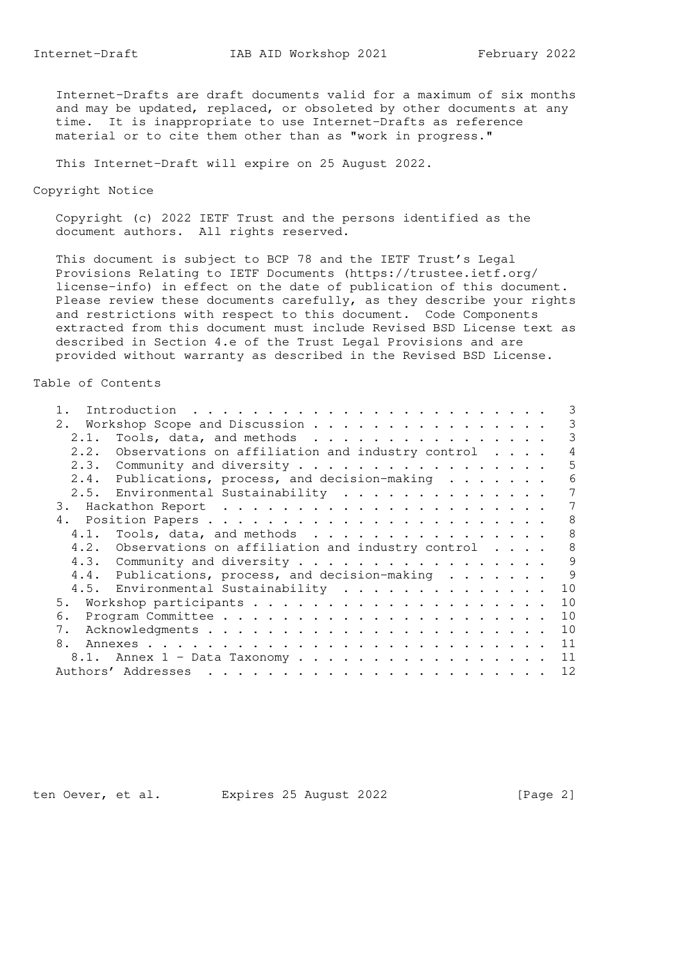Internet-Drafts are draft documents valid for a maximum of six months and may be updated, replaced, or obsoleted by other documents at any time. It is inappropriate to use Internet-Drafts as reference material or to cite them other than as "work in progress."

This Internet-Draft will expire on 25 August 2022.

Copyright Notice

 Copyright (c) 2022 IETF Trust and the persons identified as the document authors. All rights reserved.

 This document is subject to BCP 78 and the IETF Trust's Legal Provisions Relating to IETF Documents (https://trustee.ietf.org/ license-info) in effect on the date of publication of this document. Please review these documents carefully, as they describe your rights and restrictions with respect to this document. Code Components extracted from this document must include Revised BSD License text as described in Section 4.e of the Trust Legal Provisions and are provided without warranty as described in the Revised BSD License.

## Table of Contents

|      |                                                             | 3 |
|------|-------------------------------------------------------------|---|
|      | 2. Workshop Scope and Discussion                            | 3 |
| 2.1. | Tools, data, and methods                                    | 3 |
| 2.2. | Observations on affiliation and industry control $\ldots$ . | 4 |
|      | 2.3. Community and diversity                                | 5 |
|      | 2.4. Publications, process, and decision-making             | 6 |
|      | 2.5. Environmental Sustainability                           | 7 |
|      |                                                             | 7 |
|      |                                                             | 8 |
|      |                                                             | 8 |
|      | 4.2. Observations on affiliation and industry control       | 8 |
|      | 4.3. Community and diversity                                | 9 |
|      | 4.4. Publications, process, and decision-making             | 9 |
|      | 4.5. Environmental Sustainability<br>10                     |   |
| 5.   | 10                                                          |   |
| 6.   | 10                                                          |   |
| 7.   | 10                                                          |   |
| 8.   | 11                                                          |   |
|      | 11<br>8.1. Annex 1 - Data Taxonomy                          |   |
|      | 12                                                          |   |

ten Oever, et al. Expires 25 August 2022 [Page 2]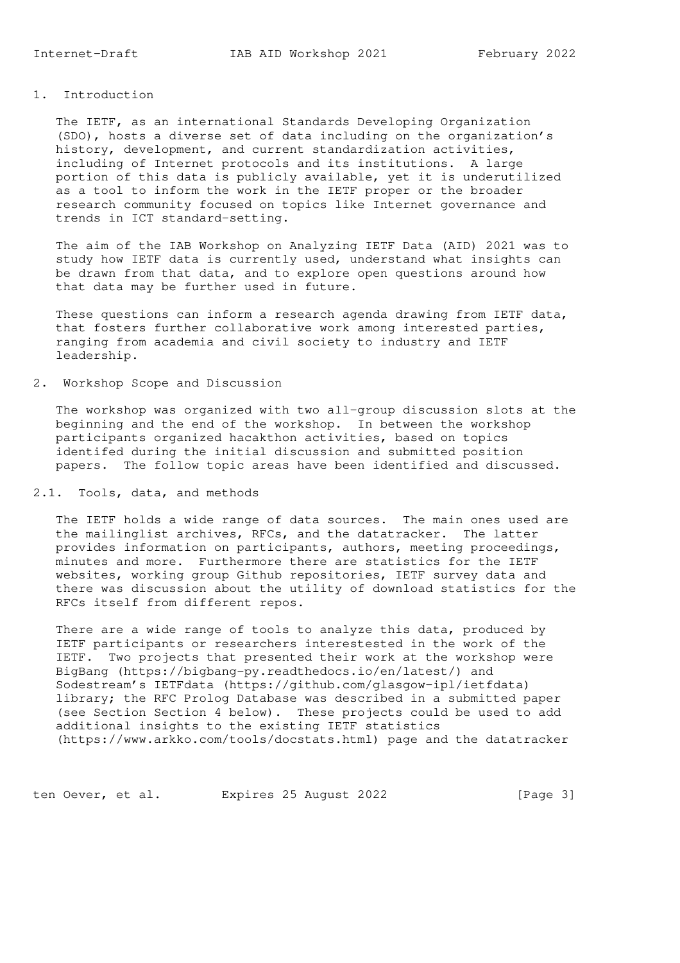1. Introduction

 The IETF, as an international Standards Developing Organization (SDO), hosts a diverse set of data including on the organization's history, development, and current standardization activities, including of Internet protocols and its institutions. A large portion of this data is publicly available, yet it is underutilized as a tool to inform the work in the IETF proper or the broader research community focused on topics like Internet governance and

 The aim of the IAB Workshop on Analyzing IETF Data (AID) 2021 was to study how IETF data is currently used, understand what insights can be drawn from that data, and to explore open questions around how that data may be further used in future.

 These questions can inform a research agenda drawing from IETF data, that fosters further collaborative work among interested parties, ranging from academia and civil society to industry and IETF leadership.

## 2. Workshop Scope and Discussion

trends in ICT standard-setting.

 The workshop was organized with two all-group discussion slots at the beginning and the end of the workshop. In between the workshop participants organized hacakthon activities, based on topics identifed during the initial discussion and submitted position papers. The follow topic areas have been identified and discussed.

## 2.1. Tools, data, and methods

 The IETF holds a wide range of data sources. The main ones used are the mailinglist archives, RFCs, and the datatracker. The latter provides information on participants, authors, meeting proceedings, minutes and more. Furthermore there are statistics for the IETF websites, working group Github repositories, IETF survey data and there was discussion about the utility of download statistics for the RFCs itself from different repos.

 There are a wide range of tools to analyze this data, produced by IETF participants or researchers interestested in the work of the IETF. Two projects that presented their work at the workshop were BigBang (https://bigbang-py.readthedocs.io/en/latest/) and Sodestream's IETFdata (https://github.com/glasgow-ipl/ietfdata) library; the RFC Prolog Database was described in a submitted paper (see Section Section 4 below). These projects could be used to add additional insights to the existing IETF statistics (https://www.arkko.com/tools/docstats.html) page and the datatracker

ten Oever, et al. Expires 25 August 2022 [Page 3]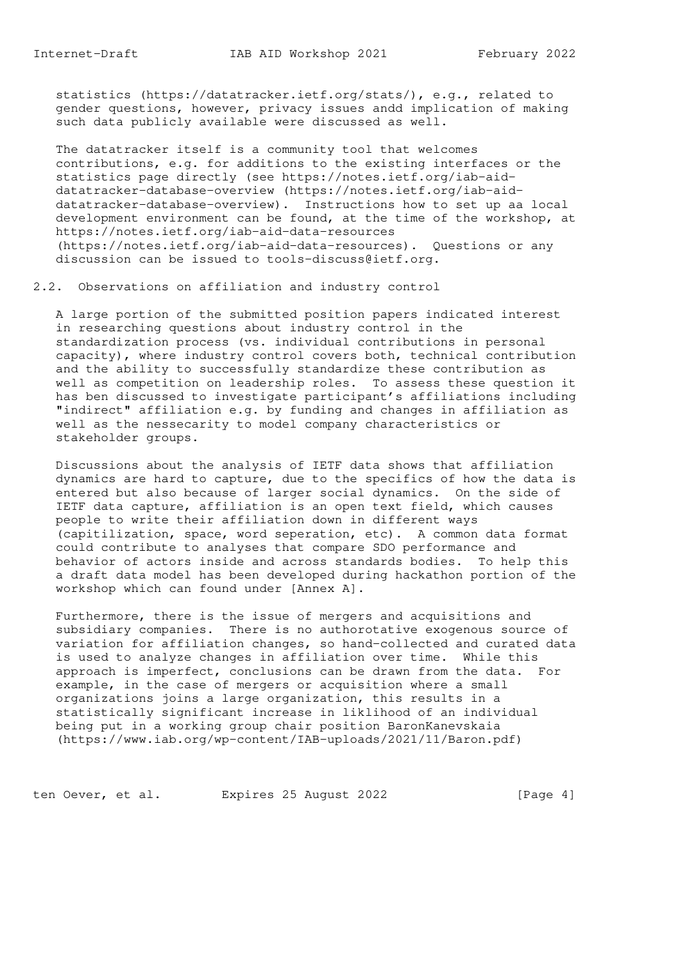statistics (https://datatracker.ietf.org/stats/), e.g., related to gender questions, however, privacy issues andd implication of making such data publicly available were discussed as well.

 The datatracker itself is a community tool that welcomes contributions, e.g. for additions to the existing interfaces or the statistics page directly (see https://notes.ietf.org/iab-aid datatracker-database-overview (https://notes.ietf.org/iab-aid datatracker-database-overview). Instructions how to set up aa local development environment can be found, at the time of the workshop, at https://notes.ietf.org/iab-aid-data-resources (https://notes.ietf.org/iab-aid-data-resources). Questions or any discussion can be issued to tools-discuss@ietf.org.

2.2. Observations on affiliation and industry control

 A large portion of the submitted position papers indicated interest in researching questions about industry control in the standardization process (vs. individual contributions in personal capacity), where industry control covers both, technical contribution and the ability to successfully standardize these contribution as well as competition on leadership roles. To assess these question it has ben discussed to investigate participant's affiliations including "indirect" affiliation e.g. by funding and changes in affiliation as well as the nessecarity to model company characteristics or stakeholder groups.

 Discussions about the analysis of IETF data shows that affiliation dynamics are hard to capture, due to the specifics of how the data is entered but also because of larger social dynamics. On the side of IETF data capture, affiliation is an open text field, which causes people to write their affiliation down in different ways (capitilization, space, word seperation, etc). A common data format could contribute to analyses that compare SDO performance and behavior of actors inside and across standards bodies. To help this a draft data model has been developed during hackathon portion of the workshop which can found under [Annex A].

 Furthermore, there is the issue of mergers and acquisitions and subsidiary companies. There is no authorotative exogenous source of variation for affiliation changes, so hand-collected and curated data is used to analyze changes in affiliation over time. While this approach is imperfect, conclusions can be drawn from the data. For example, in the case of mergers or acquisition where a small organizations joins a large organization, this results in a statistically significant increase in liklihood of an individual being put in a working group chair position BaronKanevskaia (https://www.iab.org/wp-content/IAB-uploads/2021/11/Baron.pdf)

ten Oever, et al. Expires 25 August 2022 [Page 4]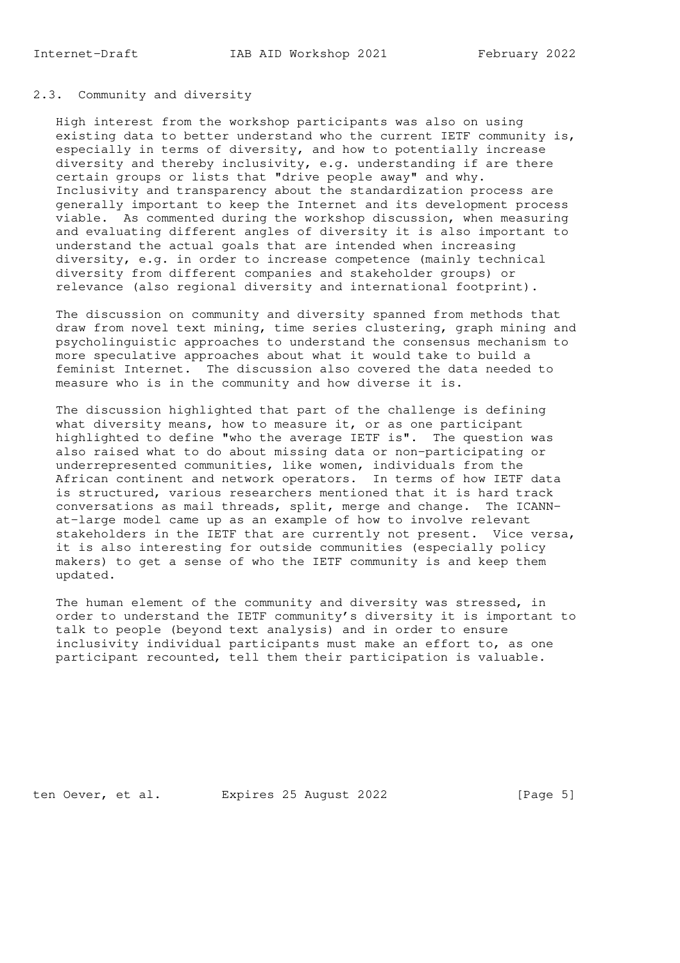### 2.3. Community and diversity

 High interest from the workshop participants was also on using existing data to better understand who the current IETF community is, especially in terms of diversity, and how to potentially increase diversity and thereby inclusivity, e.g. understanding if are there certain groups or lists that "drive people away" and why. Inclusivity and transparency about the standardization process are generally important to keep the Internet and its development process viable. As commented during the workshop discussion, when measuring and evaluating different angles of diversity it is also important to understand the actual goals that are intended when increasing diversity, e.g. in order to increase competence (mainly technical diversity from different companies and stakeholder groups) or relevance (also regional diversity and international footprint).

 The discussion on community and diversity spanned from methods that draw from novel text mining, time series clustering, graph mining and psycholinguistic approaches to understand the consensus mechanism to more speculative approaches about what it would take to build a feminist Internet. The discussion also covered the data needed to measure who is in the community and how diverse it is.

 The discussion highlighted that part of the challenge is defining what diversity means, how to measure it, or as one participant highlighted to define "who the average IETF is". The question was also raised what to do about missing data or non-participating or underrepresented communities, like women, individuals from the African continent and network operators. In terms of how IETF data is structured, various researchers mentioned that it is hard track conversations as mail threads, split, merge and change. The ICANN at-large model came up as an example of how to involve relevant stakeholders in the IETF that are currently not present. Vice versa, it is also interesting for outside communities (especially policy makers) to get a sense of who the IETF community is and keep them updated.

 The human element of the community and diversity was stressed, in order to understand the IETF community's diversity it is important to talk to people (beyond text analysis) and in order to ensure inclusivity individual participants must make an effort to, as one participant recounted, tell them their participation is valuable.

ten Oever, et al. Expires 25 August 2022 [Page 5]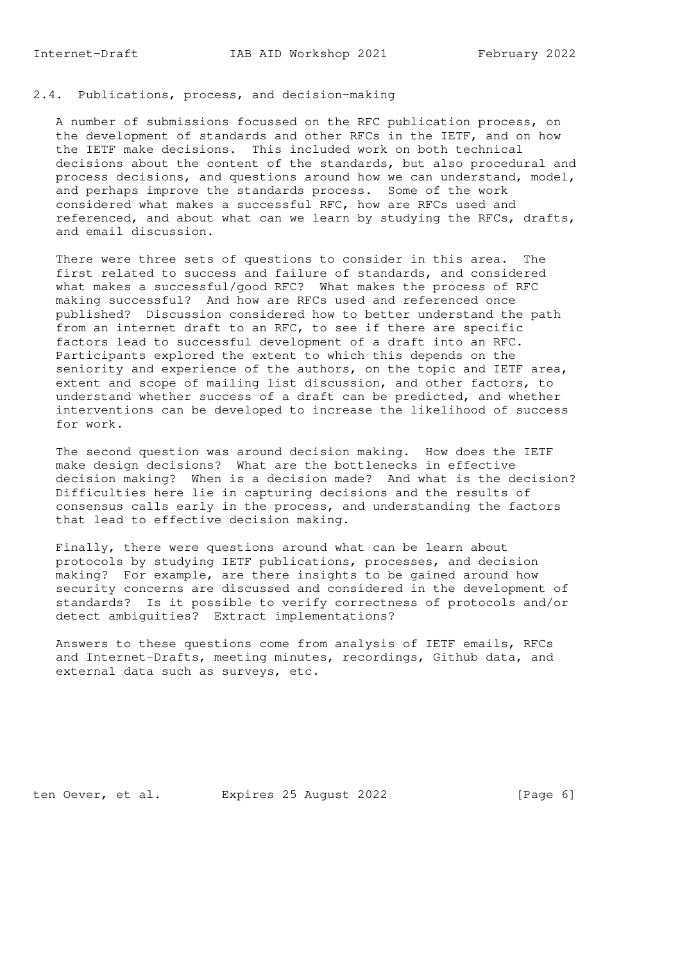# 2.4. Publications, process, and decision-making

 A number of submissions focussed on the RFC publication process, on the development of standards and other RFCs in the IETF, and on how the IETF make decisions. This included work on both technical decisions about the content of the standards, but also procedural and process decisions, and questions around how we can understand, model, and perhaps improve the standards process. Some of the work considered what makes a successful RFC, how are RFCs used and referenced, and about what can we learn by studying the RFCs, drafts, and email discussion.

 There were three sets of questions to consider in this area. The first related to success and failure of standards, and considered what makes a successful/good RFC? What makes the process of RFC making successful? And how are RFCs used and referenced once published? Discussion considered how to better understand the path from an internet draft to an RFC, to see if there are specific factors lead to successful development of a draft into an RFC. Participants explored the extent to which this depends on the seniority and experience of the authors, on the topic and IETF area, extent and scope of mailing list discussion, and other factors, to understand whether success of a draft can be predicted, and whether interventions can be developed to increase the likelihood of success for work.

 The second question was around decision making. How does the IETF make design decisions? What are the bottlenecks in effective decision making? When is a decision made? And what is the decision? Difficulties here lie in capturing decisions and the results of consensus calls early in the process, and understanding the factors that lead to effective decision making.

 Finally, there were questions around what can be learn about protocols by studying IETF publications, processes, and decision making? For example, are there insights to be gained around how security concerns are discussed and considered in the development of standards? Is it possible to verify correctness of protocols and/or detect ambiguities? Extract implementations?

 Answers to these questions come from analysis of IETF emails, RFCs and Internet-Drafts, meeting minutes, recordings, Github data, and external data such as surveys, etc.

ten Oever, et al. Expires 25 August 2022 [Page 6]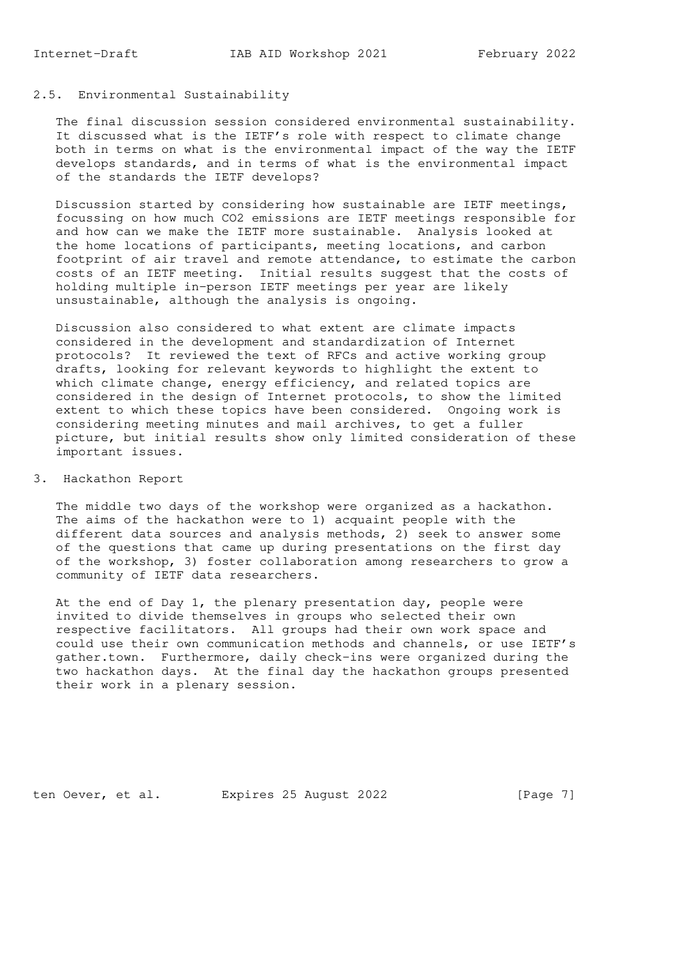# 2.5. Environmental Sustainability

 The final discussion session considered environmental sustainability. It discussed what is the IETF's role with respect to climate change both in terms on what is the environmental impact of the way the IETF develops standards, and in terms of what is the environmental impact of the standards the IETF develops?

 Discussion started by considering how sustainable are IETF meetings, focussing on how much CO2 emissions are IETF meetings responsible for and how can we make the IETF more sustainable. Analysis looked at the home locations of participants, meeting locations, and carbon footprint of air travel and remote attendance, to estimate the carbon costs of an IETF meeting. Initial results suggest that the costs of holding multiple in-person IETF meetings per year are likely unsustainable, although the analysis is ongoing.

 Discussion also considered to what extent are climate impacts considered in the development and standardization of Internet protocols? It reviewed the text of RFCs and active working group drafts, looking for relevant keywords to highlight the extent to which climate change, energy efficiency, and related topics are considered in the design of Internet protocols, to show the limited extent to which these topics have been considered. Ongoing work is considering meeting minutes and mail archives, to get a fuller picture, but initial results show only limited consideration of these important issues.

### 3. Hackathon Report

 The middle two days of the workshop were organized as a hackathon. The aims of the hackathon were to 1) acquaint people with the different data sources and analysis methods, 2) seek to answer some of the questions that came up during presentations on the first day of the workshop, 3) foster collaboration among researchers to grow a community of IETF data researchers.

At the end of Day 1, the plenary presentation day, people were invited to divide themselves in groups who selected their own respective facilitators. All groups had their own work space and could use their own communication methods and channels, or use IETF's gather.town. Furthermore, daily check-ins were organized during the two hackathon days. At the final day the hackathon groups presented their work in a plenary session.

ten Oever, et al. Expires 25 August 2022 [Page 7]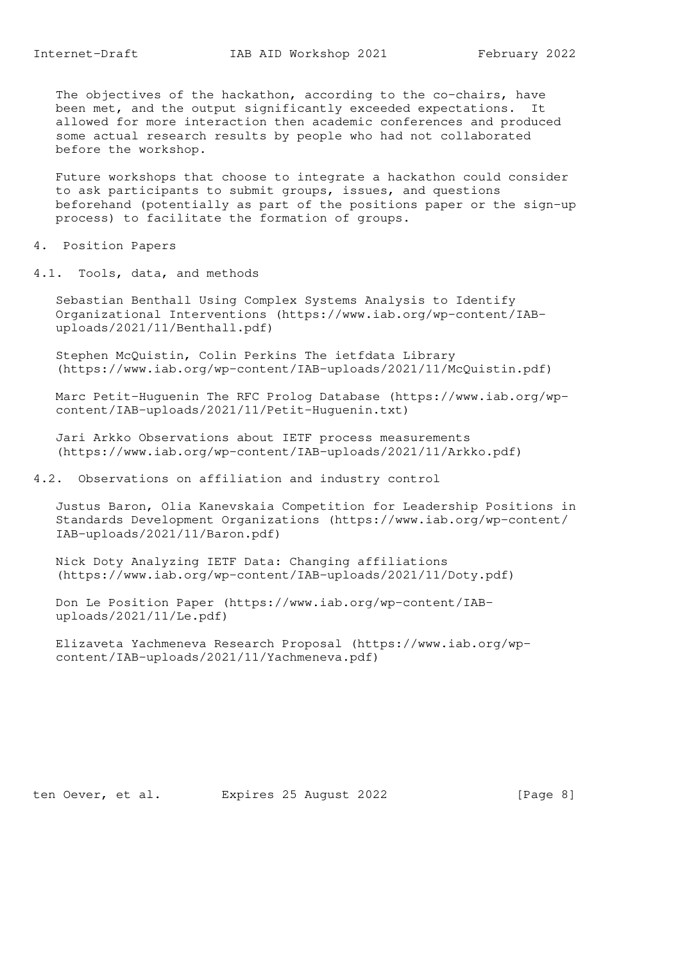The objectives of the hackathon, according to the co-chairs, have been met, and the output significantly exceeded expectations. It allowed for more interaction then academic conferences and produced some actual research results by people who had not collaborated before the workshop.

 Future workshops that choose to integrate a hackathon could consider to ask participants to submit groups, issues, and questions beforehand (potentially as part of the positions paper or the sign-up process) to facilitate the formation of groups.

4. Position Papers

4.1. Tools, data, and methods

 Sebastian Benthall Using Complex Systems Analysis to Identify Organizational Interventions (https://www.iab.org/wp-content/IAB uploads/2021/11/Benthall.pdf)

 Stephen McQuistin, Colin Perkins The ietfdata Library (https://www.iab.org/wp-content/IAB-uploads/2021/11/McQuistin.pdf)

 Marc Petit-Huguenin The RFC Prolog Database (https://www.iab.org/wp content/IAB-uploads/2021/11/Petit-Huguenin.txt)

 Jari Arkko Observations about IETF process measurements (https://www.iab.org/wp-content/IAB-uploads/2021/11/Arkko.pdf)

4.2. Observations on affiliation and industry control

 Justus Baron, Olia Kanevskaia Competition for Leadership Positions in Standards Development Organizations (https://www.iab.org/wp-content/ IAB-uploads/2021/11/Baron.pdf)

 Nick Doty Analyzing IETF Data: Changing affiliations (https://www.iab.org/wp-content/IAB-uploads/2021/11/Doty.pdf)

 Don Le Position Paper (https://www.iab.org/wp-content/IAB uploads/2021/11/Le.pdf)

 Elizaveta Yachmeneva Research Proposal (https://www.iab.org/wp content/IAB-uploads/2021/11/Yachmeneva.pdf)

ten Oever, et al. Expires 25 August 2022 [Page 8]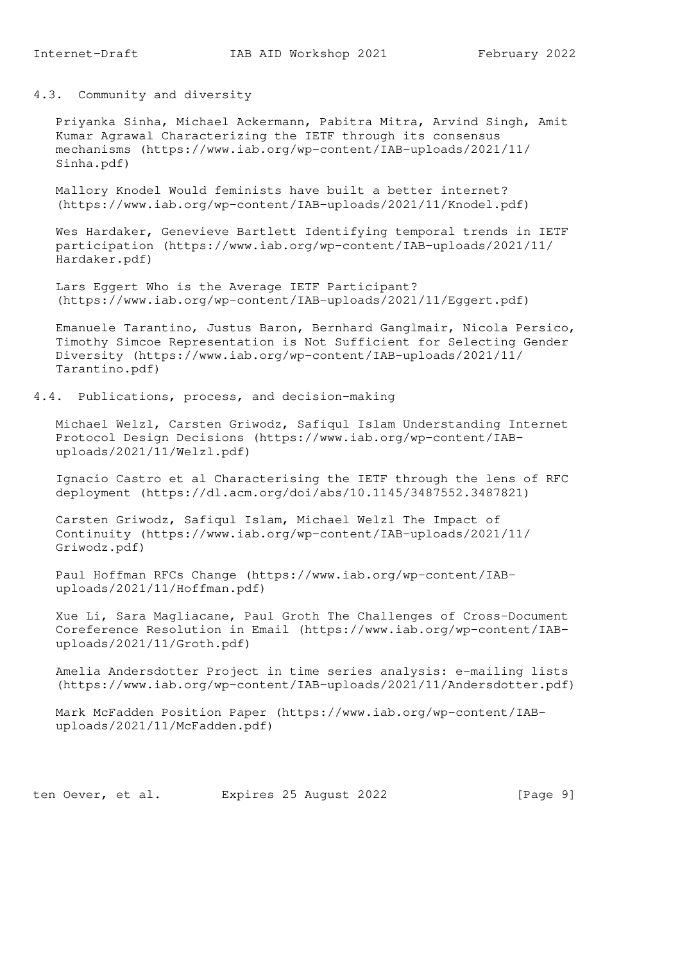4.3. Community and diversity

 Priyanka Sinha, Michael Ackermann, Pabitra Mitra, Arvind Singh, Amit Kumar Agrawal Characterizing the IETF through its consensus mechanisms (https://www.iab.org/wp-content/IAB-uploads/2021/11/ Sinha.pdf)

 Mallory Knodel Would feminists have built a better internet? (https://www.iab.org/wp-content/IAB-uploads/2021/11/Knodel.pdf)

 Wes Hardaker, Genevieve Bartlett Identifying temporal trends in IETF participation (https://www.iab.org/wp-content/IAB-uploads/2021/11/ Hardaker.pdf)

 Lars Eggert Who is the Average IETF Participant? (https://www.iab.org/wp-content/IAB-uploads/2021/11/Eggert.pdf)

 Emanuele Tarantino, Justus Baron, Bernhard Ganglmair, Nicola Persico, Timothy Simcoe Representation is Not Sufficient for Selecting Gender Diversity (https://www.iab.org/wp-content/IAB-uploads/2021/11/ Tarantino.pdf)

4.4. Publications, process, and decision-making

 Michael Welzl, Carsten Griwodz, Safiqul Islam Understanding Internet Protocol Design Decisions (https://www.iab.org/wp-content/IAB uploads/2021/11/Welzl.pdf)

 Ignacio Castro et al Characterising the IETF through the lens of RFC deployment (https://dl.acm.org/doi/abs/10.1145/3487552.3487821)

 Carsten Griwodz, Safiqul Islam, Michael Welzl The Impact of Continuity (https://www.iab.org/wp-content/IAB-uploads/2021/11/ Griwodz.pdf)

 Paul Hoffman RFCs Change (https://www.iab.org/wp-content/IAB uploads/2021/11/Hoffman.pdf)

 Xue Li, Sara Magliacane, Paul Groth The Challenges of Cross-Document Coreference Resolution in Email (https://www.iab.org/wp-content/IAB uploads/2021/11/Groth.pdf)

 Amelia Andersdotter Project in time series analysis: e-mailing lists (https://www.iab.org/wp-content/IAB-uploads/2021/11/Andersdotter.pdf)

 Mark McFadden Position Paper (https://www.iab.org/wp-content/IAB uploads/2021/11/McFadden.pdf)

ten Oever, et al. Expires 25 August 2022 [Page 9]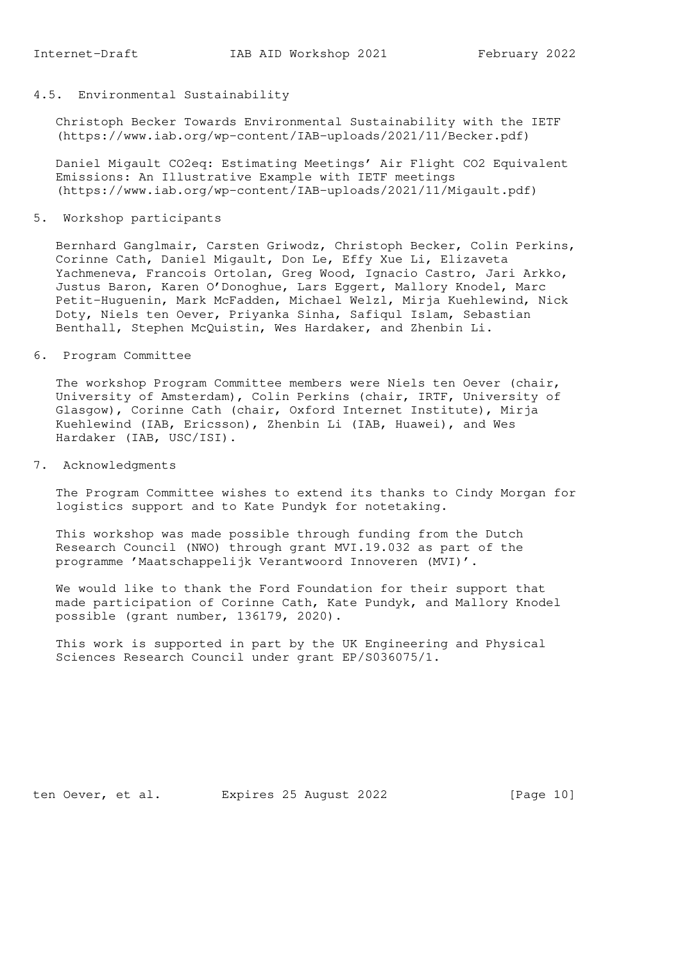# 4.5. Environmental Sustainability

 Christoph Becker Towards Environmental Sustainability with the IETF (https://www.iab.org/wp-content/IAB-uploads/2021/11/Becker.pdf)

 Daniel Migault CO2eq: Estimating Meetings' Air Flight CO2 Equivalent Emissions: An Illustrative Example with IETF meetings (https://www.iab.org/wp-content/IAB-uploads/2021/11/Migault.pdf)

5. Workshop participants

 Bernhard Ganglmair, Carsten Griwodz, Christoph Becker, Colin Perkins, Corinne Cath, Daniel Migault, Don Le, Effy Xue Li, Elizaveta Yachmeneva, Francois Ortolan, Greg Wood, Ignacio Castro, Jari Arkko, Justus Baron, Karen O'Donoghue, Lars Eggert, Mallory Knodel, Marc Petit-Huguenin, Mark McFadden, Michael Welzl, Mirja Kuehlewind, Nick Doty, Niels ten Oever, Priyanka Sinha, Safiqul Islam, Sebastian Benthall, Stephen McQuistin, Wes Hardaker, and Zhenbin Li.

6. Program Committee

 The workshop Program Committee members were Niels ten Oever (chair, University of Amsterdam), Colin Perkins (chair, IRTF, University of Glasgow), Corinne Cath (chair, Oxford Internet Institute), Mirja Kuehlewind (IAB, Ericsson), Zhenbin Li (IAB, Huawei), and Wes Hardaker (IAB, USC/ISI).

7. Acknowledgments

 The Program Committee wishes to extend its thanks to Cindy Morgan for logistics support and to Kate Pundyk for notetaking.

 This workshop was made possible through funding from the Dutch Research Council (NWO) through grant MVI.19.032 as part of the programme 'Maatschappelijk Verantwoord Innoveren (MVI)'.

 We would like to thank the Ford Foundation for their support that made participation of Corinne Cath, Kate Pundyk, and Mallory Knodel possible (grant number, 136179, 2020).

 This work is supported in part by the UK Engineering and Physical Sciences Research Council under grant EP/S036075/1.

ten Oever, et al. Expires 25 August 2022 [Page 10]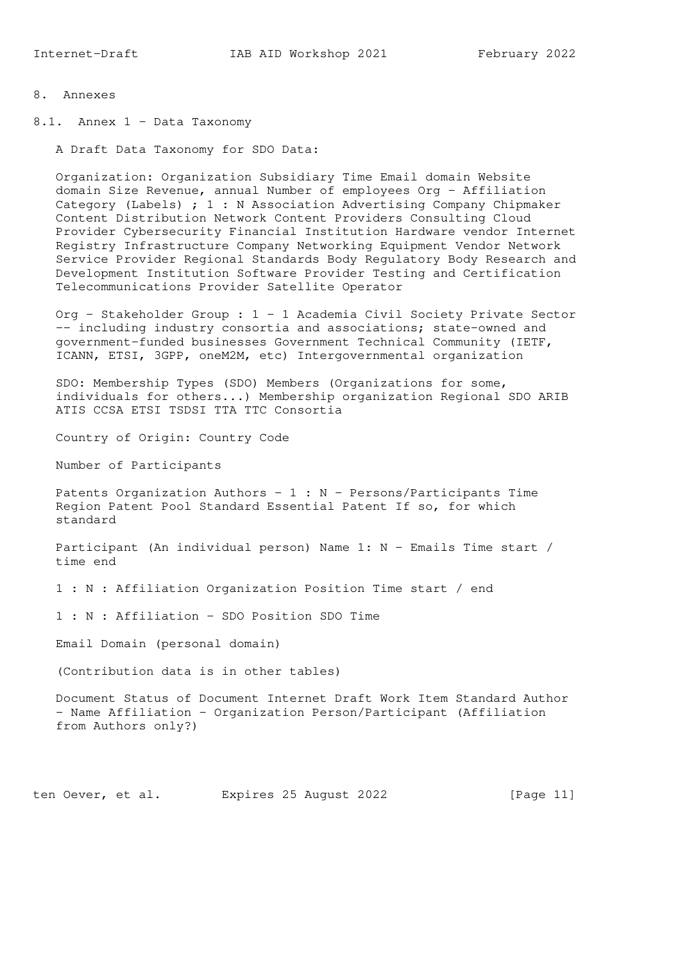- 8. Annexes
- 8.1. Annex 1 Data Taxonomy

A Draft Data Taxonomy for SDO Data:

 Organization: Organization Subsidiary Time Email domain Website domain Size Revenue, annual Number of employees Org - Affiliation Category (Labels) ; 1 : N Association Advertising Company Chipmaker Content Distribution Network Content Providers Consulting Cloud Provider Cybersecurity Financial Institution Hardware vendor Internet Registry Infrastructure Company Networking Equipment Vendor Network Service Provider Regional Standards Body Regulatory Body Research and Development Institution Software Provider Testing and Certification Telecommunications Provider Satellite Operator

 Org - Stakeholder Group : 1 - 1 Academia Civil Society Private Sector -- including industry consortia and associations; state-owned and government-funded businesses Government Technical Community (IETF, ICANN, ETSI, 3GPP, oneM2M, etc) Intergovernmental organization

 SDO: Membership Types (SDO) Members (Organizations for some, individuals for others...) Membership organization Regional SDO ARIB ATIS CCSA ETSI TSDSI TTA TTC Consortia

Country of Origin: Country Code

Number of Participants

Patents Organization Authors -  $1 : N$  - Persons/Participants Time Region Patent Pool Standard Essential Patent If so, for which standard

 Participant (An individual person) Name 1: N - Emails Time start / time end

1 : N : Affiliation Organization Position Time start / end

1 : N : Affiliation - SDO Position SDO Time

Email Domain (personal domain)

(Contribution data is in other tables)

 Document Status of Document Internet Draft Work Item Standard Author - Name Affiliation - Organization Person/Participant (Affiliation from Authors only?)

ten Oever, et al. Expires 25 August 2022 [Page 11]